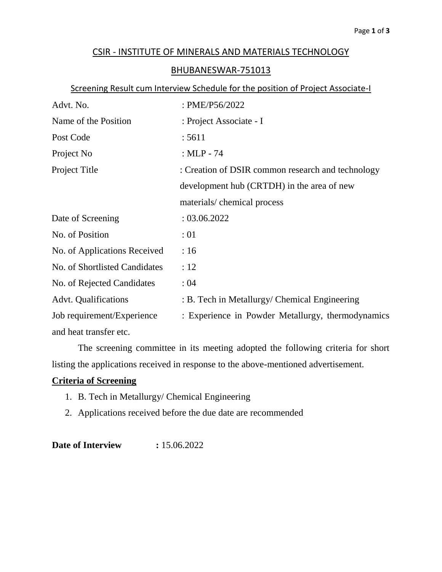## CSIR - INSTITUTE OF MINERALS AND MATERIALS TECHNOLOGY

## BHUBANESWAR-751013

## Screening Result cum Interview Schedule for the position of Project Associate-I

| Advt. No.                     | : PME/P56/2022                                    |  |
|-------------------------------|---------------------------------------------------|--|
| Name of the Position          | : Project Associate - I                           |  |
| Post Code                     | : 5611                                            |  |
| Project No                    | : $MLP - 74$                                      |  |
| Project Title                 | : Creation of DSIR common research and technology |  |
|                               | development hub (CRTDH) in the area of new        |  |
|                               | materials/chemical process                        |  |
| Date of Screening             | : 03.06.2022                                      |  |
| No. of Position               | :01                                               |  |
| No. of Applications Received  | :16                                               |  |
| No. of Shortlisted Candidates | :12                                               |  |
| No. of Rejected Candidates    | :04                                               |  |
| <b>Advt.</b> Qualifications   | : B. Tech in Metallurgy/ Chemical Engineering     |  |
| Job requirement/Experience    | : Experience in Powder Metallurgy, thermodynamics |  |
| and heat transfer etc.        |                                                   |  |

The screening committee in its meeting adopted the following criteria for short listing the applications received in response to the above-mentioned advertisement.

## **Criteria of Screening**

- 1. B. Tech in Metallurgy/ Chemical Engineering
- 2. Applications received before the due date are recommended

**Date of Interview : 15.06.2022**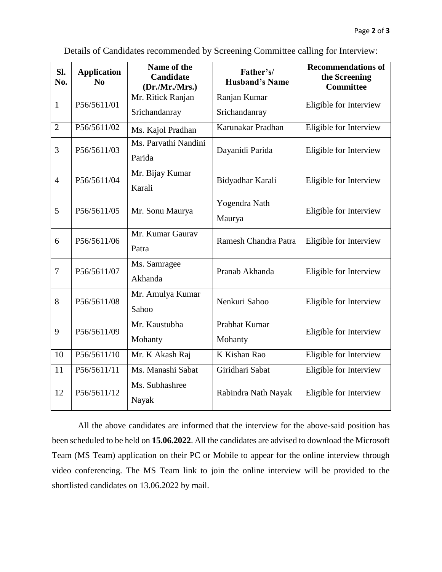| SI.<br>No.                    | <b>Application</b><br>N <sub>0</sub> | Name of the<br>Candidate<br>(Dr.Mr.Mrs.) | Father's/<br><b>Husband's Name</b>            | <b>Recommendations of</b><br>the Screening<br><b>Committee</b> |
|-------------------------------|--------------------------------------|------------------------------------------|-----------------------------------------------|----------------------------------------------------------------|
| P56/5611/01<br>$\mathbf{1}$   | Mr. Ritick Ranjan                    | Ranjan Kumar                             | Eligible for Interview                        |                                                                |
|                               |                                      | Srichandanray                            | Srichandanray                                 |                                                                |
| $\overline{2}$                | P56/5611/02                          | Ms. Kajol Pradhan                        | Karunakar Pradhan                             | Eligible for Interview                                         |
| $\overline{3}$                | P56/5611/03                          | Ms. Parvathi Nandini                     | Dayanidi Parida                               | Eligible for Interview                                         |
|                               |                                      | Parida                                   |                                               |                                                                |
| P56/5611/04<br>$\overline{4}$ |                                      | Mr. Bijay Kumar                          | Bidyadhar Karali                              | Eligible for Interview                                         |
|                               |                                      | Karali                                   |                                               |                                                                |
|                               |                                      |                                          | Yogendra Nath                                 | Eligible for Interview                                         |
|                               | 5<br>P56/5611/05                     | Mr. Sonu Maurya                          | Maurya                                        |                                                                |
| 6                             | P56/5611/06                          | Mr. Kumar Gaurav                         | Ramesh Chandra Patra                          | Eligible for Interview                                         |
|                               |                                      | Patra                                    |                                               |                                                                |
| $\overline{7}$                | P56/5611/07                          | Ms. Samragee                             | Pranab Akhanda                                | Eligible for Interview                                         |
|                               |                                      | Akhanda                                  |                                               |                                                                |
| 8<br>P56/5611/08              |                                      | Mr. Amulya Kumar                         | Nenkuri Sahoo                                 | Eligible for Interview                                         |
|                               |                                      | Sahoo                                    |                                               |                                                                |
| 9                             | P56/5611/09                          | Mr. Kaustubha                            | Prabhat Kumar                                 | Eligible for Interview                                         |
|                               |                                      | Mohanty                                  | Mohanty                                       |                                                                |
| 10                            | P56/5611/10                          | Mr. K Akash Raj                          | K Kishan Rao                                  | Eligible for Interview                                         |
| 11                            | P56/5611/11                          | Ms. Manashi Sabat                        | Giridhari Sabat                               | Eligible for Interview                                         |
| 12                            | P56/5611/12                          | Ms. Subhashree                           | Eligible for Interview<br>Rabindra Nath Nayak |                                                                |
|                               |                                      | Nayak                                    |                                               |                                                                |

Details of Candidates recommended by Screening Committee calling for Interview:

All the above candidates are informed that the interview for the above-said position has been scheduled to be held on **15.06.2022**. All the candidates are advised to download the Microsoft Team (MS Team) application on their PC or Mobile to appear for the online interview through video conferencing. The MS Team link to join the online interview will be provided to the shortlisted candidates on 13.06.2022 by mail.